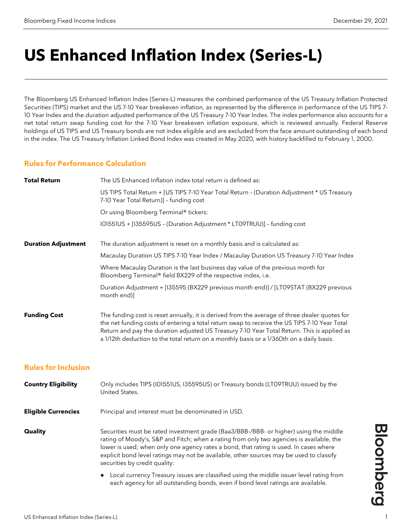# **US Enhanced Inflation Index (Series-L)**

The Bloomberg US Enhanced Inflation Index (Series-L) measures the combined performance of the US Treasury Inflation Protected Securities (TIPS) market and the US 7-10 Year breakeven inflation, as represented by the difference in performance of the US TIPS 7- 10 Year Index and the duration adjusted performance of the US Treasury 7-10 Year Index. The index performance also accounts for a net total return swap funding cost for the 7-10 Year breakeven inflation exposure, which is reviewed annually. Federal Reserve holdings of US TIPS and US Treasury bonds are not index eligible and are excluded from the face amount outstanding of each bond in the index. The US Treasury Inflation Linked Bond Index was created in May 2020, with history backfilled to February 1, 2000.

#### **Rules for Performance Calculation**

| <b>Total Return</b>        | The US Enhanced Inflation index total return is defined as:                                                                                                                                                                                                                                                                                                                              |
|----------------------------|------------------------------------------------------------------------------------------------------------------------------------------------------------------------------------------------------------------------------------------------------------------------------------------------------------------------------------------------------------------------------------------|
|                            | US TIPS Total Return + [US TIPS 7-10 Year Total Return - (Duration Adjustment * US Treasury<br>7-10 Year Total Return)] - funding cost                                                                                                                                                                                                                                                   |
|                            | Or using Bloomberg Terminal® tickers:                                                                                                                                                                                                                                                                                                                                                    |
|                            | I01551US + [I35595US - (Duration Adjustment * LT09TRUU)] - funding cost                                                                                                                                                                                                                                                                                                                  |
| <b>Duration Adjustment</b> | The duration adjustment is reset on a monthly basis and is calculated as:                                                                                                                                                                                                                                                                                                                |
|                            | Macaulay Duration US TIPS 7-10 Year Index / Macaulay Duration US Treasury 7-10 Year Index                                                                                                                                                                                                                                                                                                |
|                            | Where Macaulay Duration is the last business day value of the previous month for<br>Bloomberg Terminal® field BX229 of the respective index, i.e.                                                                                                                                                                                                                                        |
|                            | Duration Adjustment = [135595 (BX229 previous month end)] / [LT09STAT (BX229 previous<br>month end)]                                                                                                                                                                                                                                                                                     |
| <b>Funding Cost</b>        | The funding cost is reset annually, it is derived from the average of three dealer quotes for<br>the net funding costs of entering a total return swap to receive the US TIPS 7-10 Year Total<br>Return and pay the duration adjusted US Treasury 7-10 Year Total Return. This is applied as<br>a 1/12th deduction to the total return on a monthly basis or a 1/360th on a daily basis. |

### **Rules for Inclusion**

| <b>Country Eligibility</b> | Only includes TIPS (I01551US, I35595US) or Treasury bonds (LT09TRUU) issued by the<br>United States.                                                                                                                                                                                                                                                                                                   |
|----------------------------|--------------------------------------------------------------------------------------------------------------------------------------------------------------------------------------------------------------------------------------------------------------------------------------------------------------------------------------------------------------------------------------------------------|
| <b>Eligible Currencies</b> | Principal and interest must be denominated in USD.                                                                                                                                                                                                                                                                                                                                                     |
| <b>Quality</b>             | Securities must be rated investment grade (Baa3/BBB-/BBB- or higher) using the middle<br>rating of Moody's, S&P and Fitch; when a rating from only two agencies is available, the<br>lower is used; when only one agency rates a bond, that rating is used. In cases where<br>explicit bond level ratings may not be available, other sources may be used to classify<br>securities by credit quality: |
|                            | Local currency Treasury issues are classified using the middle issuer level rating from<br>$\bullet$<br>each agency for all outstanding bonds, even if bond level ratings are available.                                                                                                                                                                                                               |

**Bloomberg**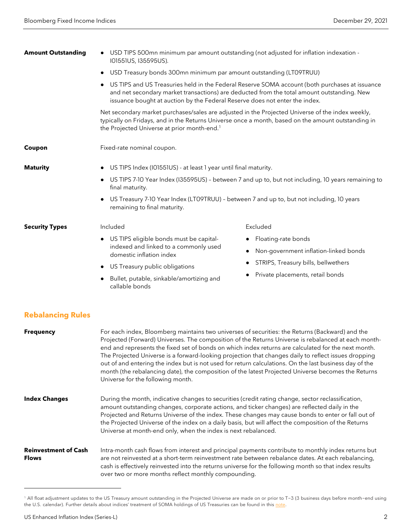| <b>Amount Outstanding</b> | USD TIPS 500mn minimum par amount outstanding (not adjusted for inflation indexation -<br>I01551US, I35595US).                                                                                                                                                              |                                       |  |  |
|---------------------------|-----------------------------------------------------------------------------------------------------------------------------------------------------------------------------------------------------------------------------------------------------------------------------|---------------------------------------|--|--|
|                           | USD Treasury bonds 300mn minimum par amount outstanding (LT09TRUU)                                                                                                                                                                                                          |                                       |  |  |
|                           | US TIPS and US Treasuries held in the Federal Reserve SOMA account (both purchases at issuance<br>and net secondary market transactions) are deducted from the total amount outstanding. New<br>issuance bought at auction by the Federal Reserve does not enter the index. |                                       |  |  |
|                           | Net secondary market purchases/sales are adjusted in the Projected Universe of the index weekly,<br>typically on Fridays, and in the Returns Universe once a month, based on the amount outstanding in<br>the Projected Universe at prior month-end. <sup>1</sup>           |                                       |  |  |
| Coupon                    | Fixed-rate nominal coupon.                                                                                                                                                                                                                                                  |                                       |  |  |
| <b>Maturity</b>           | US TIPS Index (I01551US) - at least 1 year until final maturity.                                                                                                                                                                                                            |                                       |  |  |
|                           | US TIPS 7-10 Year Index (135595US) - between 7 and up to, but not including, 10 years remaining to<br>final maturity.                                                                                                                                                       |                                       |  |  |
|                           | US Treasury 7-10 Year Index (LTO9TRUU) - between 7 and up to, but not including, 10 years<br>remaining to final maturity.                                                                                                                                                   |                                       |  |  |
| <b>Security Types</b>     | Included                                                                                                                                                                                                                                                                    | Excluded                              |  |  |
|                           | US TIPS eligible bonds must be capital-<br>$\bullet$<br>indexed and linked to a commonly used<br>domestic inflation index                                                                                                                                                   | Floating-rate bonds                   |  |  |
|                           |                                                                                                                                                                                                                                                                             | Non-government inflation-linked bonds |  |  |
|                           | US Treasury public obligations                                                                                                                                                                                                                                              | STRIPS, Treasury bills, bellwethers   |  |  |
|                           | Bullet, putable, sinkable/amortizing and<br>callable bonds                                                                                                                                                                                                                  | Private placements, retail bonds      |  |  |

# **Rebalancing Rules**

| <b>Frequency</b>                            | For each index, Bloomberg maintains two universes of securities: the Returns (Backward) and the<br>Projected (Forward) Universes. The composition of the Returns Universe is rebalanced at each month-<br>end and represents the fixed set of bonds on which index returns are calculated for the next month.<br>The Projected Universe is a forward-looking projection that changes daily to reflect issues dropping<br>out of and entering the index but is not used for return calculations. On the last business day of the<br>month (the rebalancing date), the composition of the latest Projected Universe becomes the Returns<br>Universe for the following month. |
|---------------------------------------------|----------------------------------------------------------------------------------------------------------------------------------------------------------------------------------------------------------------------------------------------------------------------------------------------------------------------------------------------------------------------------------------------------------------------------------------------------------------------------------------------------------------------------------------------------------------------------------------------------------------------------------------------------------------------------|
| <b>Index Changes</b>                        | During the month, indicative changes to securities (credit rating change, sector reclassification,<br>amount outstanding changes, corporate actions, and ticker changes) are reflected daily in the<br>Projected and Returns Universe of the index. These changes may cause bonds to enter or fall out of<br>the Projected Universe of the index on a daily basis, but will affect the composition of the Returns<br>Universe at month-end only, when the index is next rebalanced.                                                                                                                                                                                        |
| <b>Reinvestment of Cash</b><br><b>Flows</b> | Intra-month cash flows from interest and principal payments contribute to monthly index returns but<br>are not reinvested at a short-term reinvestment rate between rebalance dates. At each rebalancing,<br>cash is effectively reinvested into the returns universe for the following month so that index results<br>over two or more months reflect monthly compounding.                                                                                                                                                                                                                                                                                                |

<span id="page-1-0"></span><sup>&</sup>lt;sup>1</sup> All float adjustment updates to the US Treasury amount outstanding in the Projected Universe are made on or prior to T-3 (3 business days before month-end using the U.S. calendar). Further details about indices' treatment of SOMA holdings of US Treasuries can be found in thi[s note.](https://blinks.bloomberg.com/news/stories/Q9GRD8DWLU6K)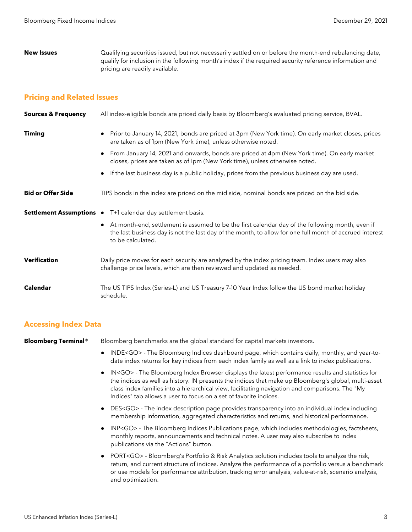**New Issues** Qualifying securities issued, but not necessarily settled on or before the month-end rebalancing date, qualify for inclusion in the following month's index if the required security reference information and pricing are readily available.

#### **Pricing and Related Issues**

| <b>Sources &amp; Frequency</b> | All index-eligible bonds are priced daily basis by Bloomberg's evaluated pricing service, BVAL.                                                                                                                                    |
|--------------------------------|------------------------------------------------------------------------------------------------------------------------------------------------------------------------------------------------------------------------------------|
| <b>Timing</b>                  | Prior to January 14, 2021, bonds are priced at 3pm (New York time). On early market closes, prices<br>are taken as of Ipm (New York time), unless otherwise noted.                                                                 |
|                                | • From January 14, 2021 and onwards, bonds are priced at 4pm (New York time). On early market<br>closes, prices are taken as of 1pm (New York time), unless otherwise noted.                                                       |
|                                | If the last business day is a public holiday, prices from the previous business day are used.                                                                                                                                      |
| <b>Bid or Offer Side</b>       | TIPS bonds in the index are priced on the mid side, nominal bonds are priced on the bid side.                                                                                                                                      |
|                                | Settlement Assumptions • T+1 calendar day settlement basis.                                                                                                                                                                        |
|                                | • At month-end, settlement is assumed to be the first calendar day of the following month, even if<br>the last business day is not the last day of the month, to allow for one full month of accrued interest<br>to be calculated. |
| <b>Verification</b>            | Daily price moves for each security are analyzed by the index pricing team. Index users may also<br>challenge price levels, which are then reviewed and updated as needed.                                                         |
| <b>Calendar</b>                | The US TIPS Index (Series-L) and US Treasury 7-10 Year Index follow the US bond market holiday<br>schedule.                                                                                                                        |

#### **Accessing Index Data**

**Bloomberg Terminal®** Bloomberg benchmarks are the global standard for capital markets investors.

- INDE<GO> The Bloomberg Indices dashboard page, which contains daily, monthly, and year-todate index returns for key indices from each index family as well as a link to index publications.
- IN<GO> The Bloomberg Index Browser displays the latest performance results and statistics for the indices as well as history. IN presents the indices that make up Bloomberg's global, multi-asset class index families into a hierarchical view, facilitating navigation and comparisons. The "My Indices" tab allows a user to focus on a set of favorite indices.
- DES<GO> The index description page provides transparency into an individual index including membership information, aggregated characteristics and returns, and historical performance.
- INP<GO> The Bloomberg Indices Publications page, which includes methodologies, factsheets, monthly reports, announcements and technical notes. A user may also subscribe to index publications via the "Actions" button.
- PORT<GO> Bloomberg's Portfolio & Risk Analytics solution includes tools to analyze the risk, return, and current structure of indices. Analyze the performance of a portfolio versus a benchmark or use models for performance attribution, tracking error analysis, value-at-risk, scenario analysis, and optimization.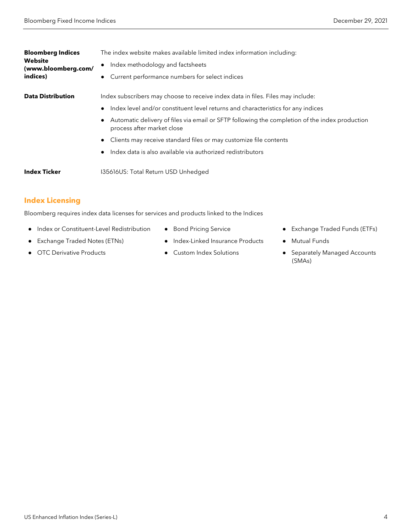| <b>Bloomberg Indices</b><br><b>Website</b><br>(www.bloomberg.com/<br>indices) | The index website makes available limited index information including:                                                       |
|-------------------------------------------------------------------------------|------------------------------------------------------------------------------------------------------------------------------|
|                                                                               | Index methodology and factsheets                                                                                             |
|                                                                               | Current performance numbers for select indices                                                                               |
| <b>Data Distribution</b>                                                      | Index subscribers may choose to receive index data in files. Files may include:                                              |
|                                                                               | Index level and/or constituent level returns and characteristics for any indices                                             |
|                                                                               | Automatic delivery of files via email or SFTP following the completion of the index production<br>process after market close |
|                                                                               | Clients may receive standard files or may customize file contents                                                            |
|                                                                               | Index data is also available via authorized redistributors                                                                   |
| <b>Index Ticker</b>                                                           | I35616US: Total Return USD Unhedged                                                                                          |

# **Index Licensing**

Bloomberg requires index data licenses for services and products linked to the Indices

- Index or Constituent-Level Redistribution
- Exchange Traded Notes (ETNs)
- OTC Derivative Products
- Bond Pricing Service
- Index-Linked Insurance Products
- Custom Index Solutions
- Exchange Traded Funds (ETFs)
- Mutual Funds
- Separately Managed Accounts (SMAs)